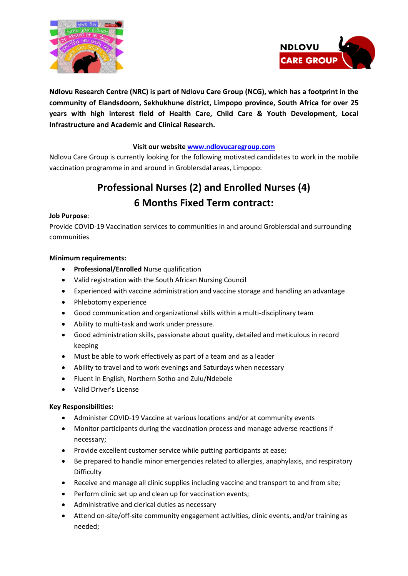



**Ndlovu Research Centre (NRC) is part of Ndlovu Care Group (NCG), which has a footprint in the community of Elandsdoorn, Sekhukhune district, Limpopo province, South Africa for over 25 years with high interest field of Health Care, Child Care & Youth Development, Local Infrastructure and Academic and Clinical Research.**

## **Visit our websit[e www.ndlovucaregroup.com](http://www.ndlovucaregroup.com/)**

Ndlovu Care Group is currently looking for the following motivated candidates to work in the mobile vaccination programme in and around in Groblersdal areas, Limpopo:

# **Professional Nurses (2) and Enrolled Nurses (4) 6 Months Fixed Term contract:**

### **Job Purpose**:

Provide COVID-19 Vaccination services to communities in and around Groblersdal and surrounding communities

### **Minimum requirements:**

- **Professional/Enrolled** Nurse qualification
- Valid registration with the South African Nursing Council
- Experienced with vaccine administration and vaccine storage and handling an advantage
- Phlebotomy experience
- Good communication and organizational skills within a multi-disciplinary team
- Ability to multi-task and work under pressure.
- Good administration skills, passionate about quality, detailed and meticulous in record keeping
- Must be able to work effectively as part of a team and as a leader
- Ability to travel and to work evenings and Saturdays when necessary
- Fluent in English, Northern Sotho and Zulu/Ndebele
- Valid Driver's License

#### **Key Responsibilities:**

- Administer COVID-19 Vaccine at various locations and/or at community events
- Monitor participants during the vaccination process and manage adverse reactions if necessary;
- Provide excellent customer service while putting participants at ease;
- Be prepared to handle minor emergencies related to allergies, anaphylaxis, and respiratory **Difficulty**
- Receive and manage all clinic supplies including vaccine and transport to and from site;
- Perform clinic set up and clean up for vaccination events;
- Administrative and clerical duties as necessary
- Attend on-site/off-site community engagement activities, clinic events, and/or training as needed;